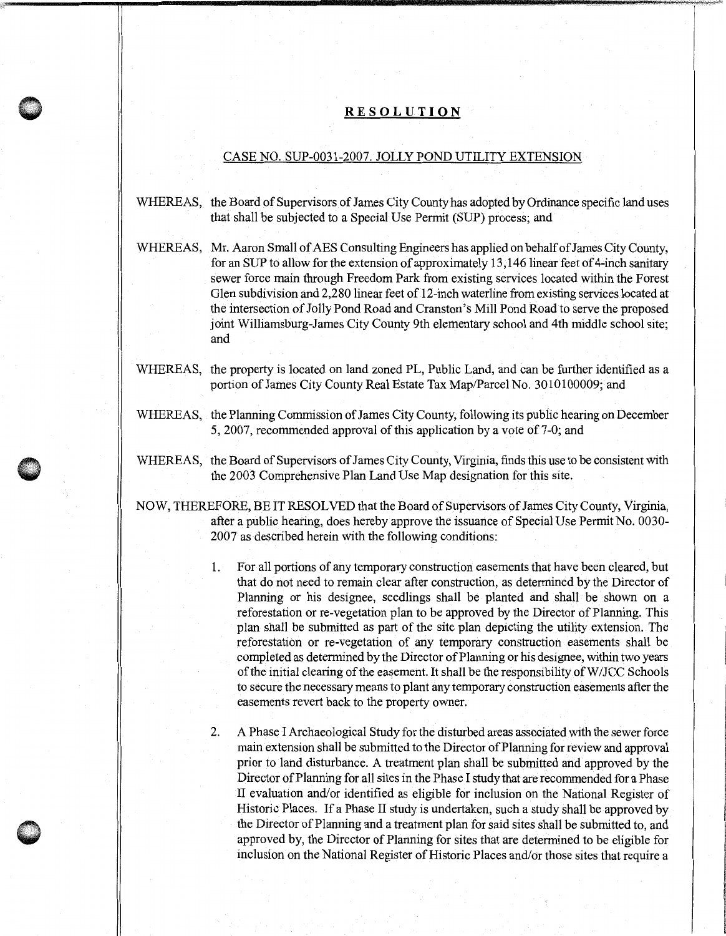## **RESOLUTION**

## CASE NO. SUP-0031-2007. JOLLY POND UTILITY EXTENSION

- WHEREAS, the Board of Supervisors of James City County has adopted by Ordinance specific land uses that shall be subjected to a Special Use Permit (SUP) process; and
- WHEREAS, Mr. Aaron Small of AES Consulting Engineers has applied on behalf of James City County, for an SUP to allow for the extension of approximately 13, 146 linear feet of 4-inch sanitary sewer force main through Freedom Park from existing services located within the Forest Glen subdivision and 2,280 linear feet of 12-inch waterline from existing services located at the intersection of Jolly Pond Road and Cranston's Mill Pond Road to serve the proposed joint Williamsburg-James City County 9th elementary school and 4th middle school site; and
- WHEREAS, the property is located on land zoned PL, Public Land, and can be further identified as a portion of James City County Real Estate Tax Map/Parcel No. 3010100009; and
- WHEREAS, the Planning Commission of James City County, following its public hearing on December 5, 2007, recommended approval of this application by a vote of 7-0; and
- WHEREAS, the Board of Supervisors of James City County, Virginia, finds this use to be consistent with the 2003 Comprehensive Plan Land Use Map designation for this site.
- NOW, THEREFORE, BE IT RESOLVED that the Board of Supervisors of James City County, Virginia, after a public hearing, does hereby approve the issuance of Special Use Permit No. 0030- 2007 as described herein with the following conditions:
	- 1. For all portions of any temporary construction easements that have been cleared, but that do not need to remain clear after construction, as determined by the Director of Planning or his designee, seedlings shall be planted and shall be shown on a reforestation or re-vegetation plan to be approved by the Director of Planning. This plan shall be submitted as part of the site plan depicting the utility extension. The reforestation or re-vegetation of any temporary construction easements shall be completed as determined by the Director of Planning or his designee, within two years of the initial clearing of the easement. It shall be the responsibility ofW/JCC Schools to secure the necessary means to plant any temporary construction easements after the easements revert back to the property owner.
	- 2. A Phase I Archaeological Study for the disturbed areas associated with the sewer force main extension shall be submitted to the Director of Planning for review and approval prior to land disturbance. A treatment plan shall be submitted and approved by the Director of Planning for all sites in the Phase I study that are recommended for a Phase II evaluation and/or identified as eligible for inclusion on the National Register of Historic Places. If a Phase II study is undertaken, such a study shall be approved by the Director of Planning and a treatment plan for said sites shall be submitted to, and approved by, the Director of Planning for sites that are determined to be eligible for inclusion on the National Register of Historic Places and/or those sites that require a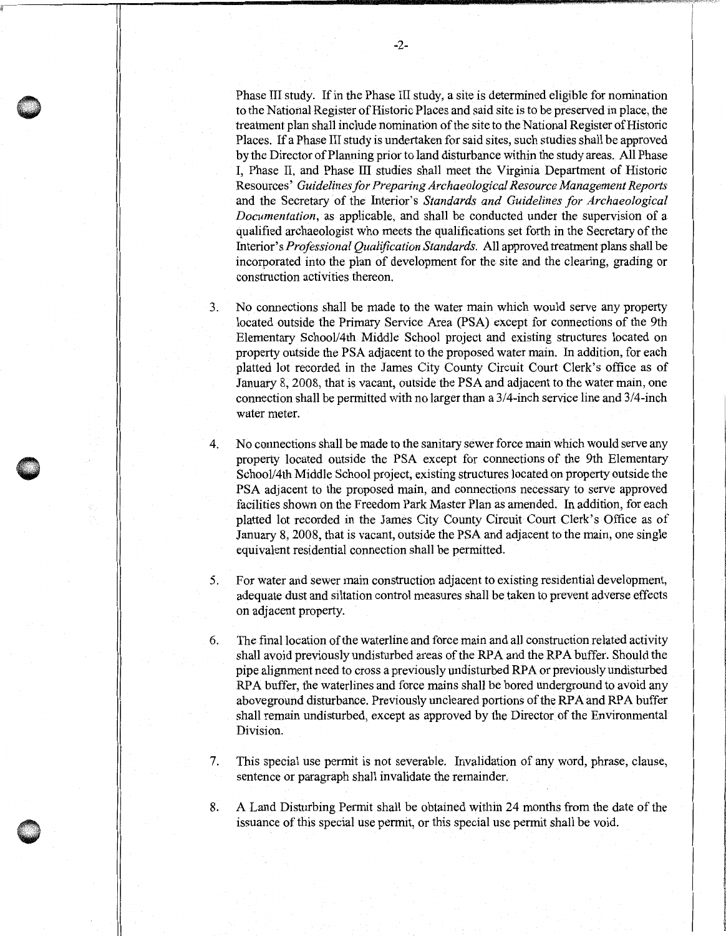Phase III study. If in the Phase III study, a site is determined eligible for nomination to the National Register of Historic Places and said site is to be preserved in place, the treatment plan shall include nomination of the site to the National Register of Historic Places. If a Phase III study is undertaken for said sites, such studies shall be approved by the Director of Planning prior to land disturbance within the study areas. All Phase I, Phase II, and Phase III studies shall meet the Virginia Department of Historic Resources' *Guidelines for Preparing Archaeological Resource Management Reports*  and the Secretary of the Interior's *Standards and Guidelines for Archaeological Documentation,* as applicable, and shall be conducted under the supervision of a qualified archaeologist who meets the qualifications set forth in the Secretary of the Interior's *Professional Qualification Standards.* All approved treatment plans shall be incorporated into the plan of development for the site and the clearing, grading or construction activities thereon.

- 3. No connections shall be made to the water main which would serve any property located outside the Primary Service Area (PSA) except for connections of the 9th Elementary School/4th Middle School project and existing structures located on property outside the PSA adjacent to the proposed water main. In addition, for each platted lot recorded in the James City County Circuit Court Clerk's office as of January 8, 2008, that is vacant, outside the PSA and adjacent to the water main, one connection shall be permitted with no larger than a 3/4-inch service line and 3/4-inch water meter.
- 4. No connections shall be made to the sanitary sewer force main which would serve any property located outside the PSA except for connections of the 9th Elementary School/4th Middle School project, existing structures located on property outside the PSA adjacent to the proposed main, and connections necessary to serve approved facilities shown on the Freedom Park Master Plan as amended. In addition, for each platted lot recorded in the James City County Circuit Court Clerk's Office as of January 8, 2008, that is vacant, outside the PSA and adjacent to the main, one single equivalent residential connection shall be permitted.

•

- 5. For water and sewer main construction adjacent to existing residential development, adequate dust and siltation control measures shall be taken to prevent adverse effects on adjacent property.
- 6. The final location of the waterline and force main and all construction related activity shall avoid previously undisturbed areas of the RPA and the RPA buffer. Should the pipe alignment need to cross a previously undisturbed RPA or previously undisturbed RPA buffer, the waterlines and force mains shall be bored underground to avoid any aboveground disturbance. Previously uncleared portions of the RPA and RPA buffer shall remain undisturbed, except as approved by the Director of the Environmental Division.
- 7. This special use permit is not severable. Invalidation of any word, phrase, clause, sentence or paragraph shall invalidate the remainder.
- 8. A Land Disturbing Permit shall be obtained within 24 months from the date of the issuance of this special use permit, or this special use permit shall be void.